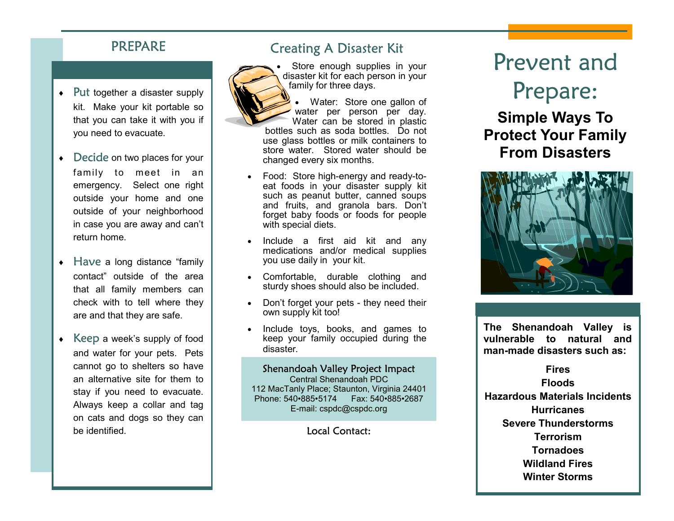## PREPARE

- $\leftarrow$  Put together a disaster supply kit. Make your kit portable so that you can take it with you if you need to evacuate.
- Decide on two places for your family to meet in an emergency. Select one right outside your home and one outside of your neighborhood in case you are away and can't return home.
- $\leftrightarrow$  Have a long distance "family" contact" outside of the area that all family members can check with to tell where they are and that they are safe.
- $\leftarrow$  Keep a week's supply of food and water for your pets. Pets cannot go to shelters so have an alternative site for them to stay if you need to evacuate. Always keep a collar and tag on cats and dogs so they can be identified.

# Creating A Disaster Kit



Store enough supplies in your disaster kit for each person in your family for three days.

Water: Store one gallon of water per person per day. Water can be stored in plastic bottles such as soda bottles. Do not use glass bottles or milk containers to store water. Stored water should be changed every six months.

- Food: Store high-energy and ready-toeat foods in your disaster supply kit such as peanut butter, canned soups and fruits, and granola bars. Don't forget baby foods or foods for people with special diets.
- Include a first aid kit and any medications and/or medical supplies you use daily in your kit.
- Comfortable, durable clothing and sturdy shoes should also be included.
- Don't forget your pets they need their own supply kit too!
- Include toys, books, and games to keep your family occupied during the disaster.

#### Shenandoah Valley Project Impact

Central Shenandoah PDC 112 MacTanly Place; Staunton, Virginia 24401 Phone: 540•885•5174 Fax: 540•885•2687 E-mail: cspdc@cspdc.org

Local Contact:

# Prevent and Prepare:

# **Simple Ways To Protect Your Family From Disasters**



**The Shenandoah Valley is vulnerable to natural and man-made disasters such as:** 

### **Fires Floods Hazardous Materials Incidents Hurricanes Severe Thunderstorms Terrorism Tornadoes**

**Wildland Fires Winter Storms**